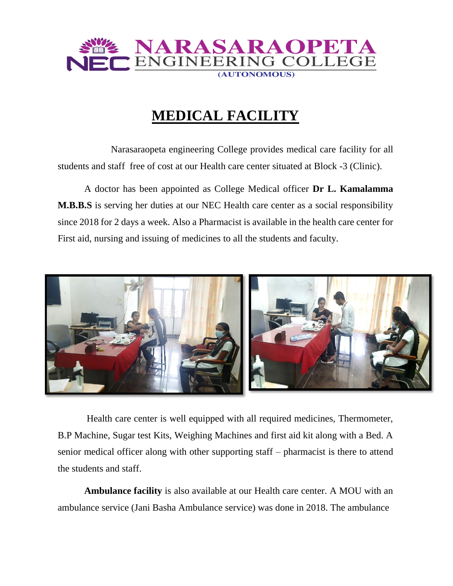

## **MEDICAL FACILITY**

Narasaraopeta engineering College provides medical care facility for all students and staff free of cost at our Health care center situated at Block -3 (Clinic).

A doctor has been appointed as College Medical officer **Dr L. Kamalamma M.B.B.S** is serving her duties at our NEC Health care center as a social responsibility since 2018 for 2 days a week. Also a Pharmacist is available in the health care center for First aid, nursing and issuing of medicines to all the students and faculty.



Health care center is well equipped with all required medicines, Thermometer, B.P Machine, Sugar test Kits, Weighing Machines and first aid kit along with a Bed. A senior medical officer along with other supporting staff – pharmacist is there to attend the students and staff.

**Ambulance facility** is also available at our Health care center. A MOU with an ambulance service (Jani Basha Ambulance service) was done in 2018. The ambulance